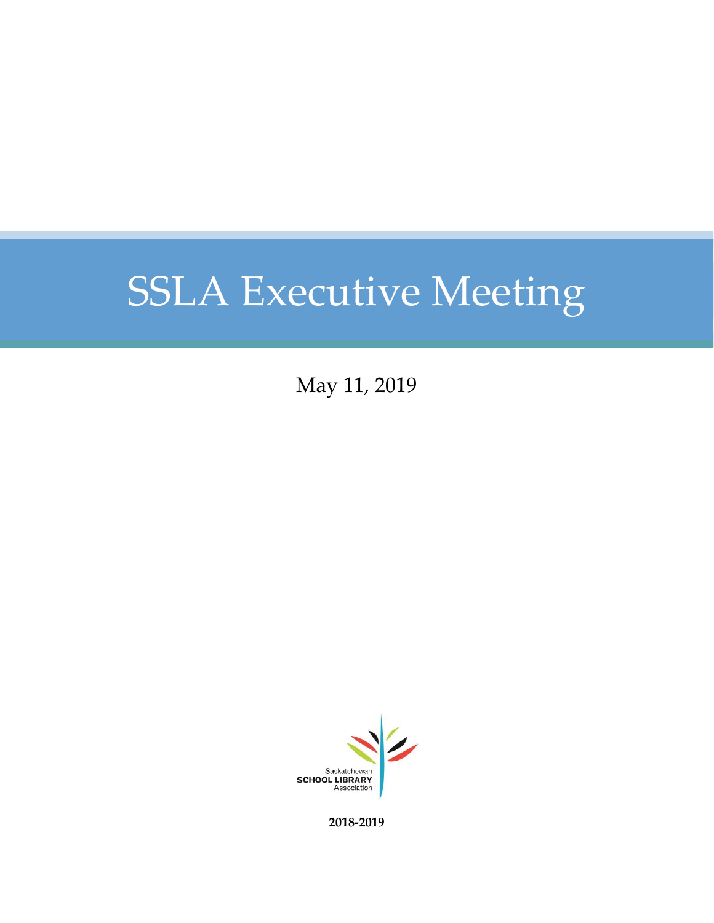May 11, 2019



**2018-2019**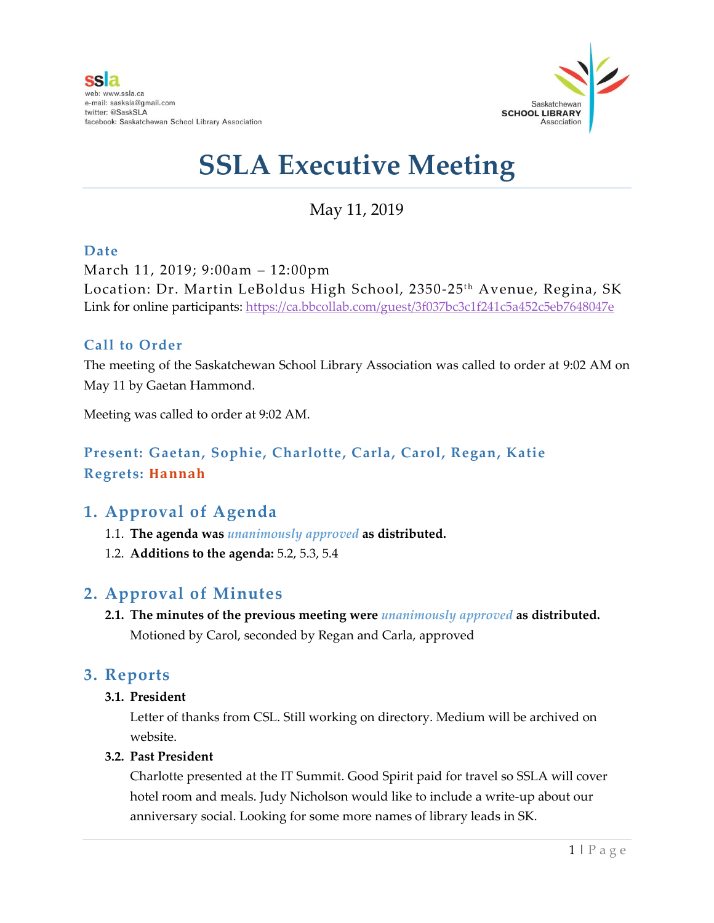

May 11, 2019

#### **Date**

March 11, 2019; 9:00am – 12:00pm Location: Dr. Martin LeBoldus High School, 2350-25<sup>th</sup> Avenue, Regina, SK Link for online participants:<https://ca.bbcollab.com/guest/3f037bc3c1f241c5a452c5eb7648047e>

#### **Call to Order**

The meeting of the Saskatchewan School Library Association was called to order at 9:02 AM on May 11 by Gaetan Hammond.

Meeting was called to order at 9:02 AM.

#### **Present: Gaetan, Sophie, Charlotte, Carla, Carol, Regan, Katie Regrets: Hannah**

#### **1. Approval of Agenda**

- 1.1. **The agenda was** *unanimously approved* **as distributed.**
- 1.2. **Additions to the agenda:** 5.2, 5.3, 5.4

#### **2. Approval of Minutes**

**2.1. The minutes of the previous meeting were** *unanimously approved* **as distributed.**  Motioned by Carol, seconded by Regan and Carla, approved

#### **3. Reports**

**3.1. President**

Letter of thanks from CSL. Still working on directory. Medium will be archived on website.

#### **3.2. Past President**

Charlotte presented at the IT Summit. Good Spirit paid for travel so SSLA will cover hotel room and meals. Judy Nicholson would like to include a write-up about our anniversary social. Looking for some more names of library leads in SK.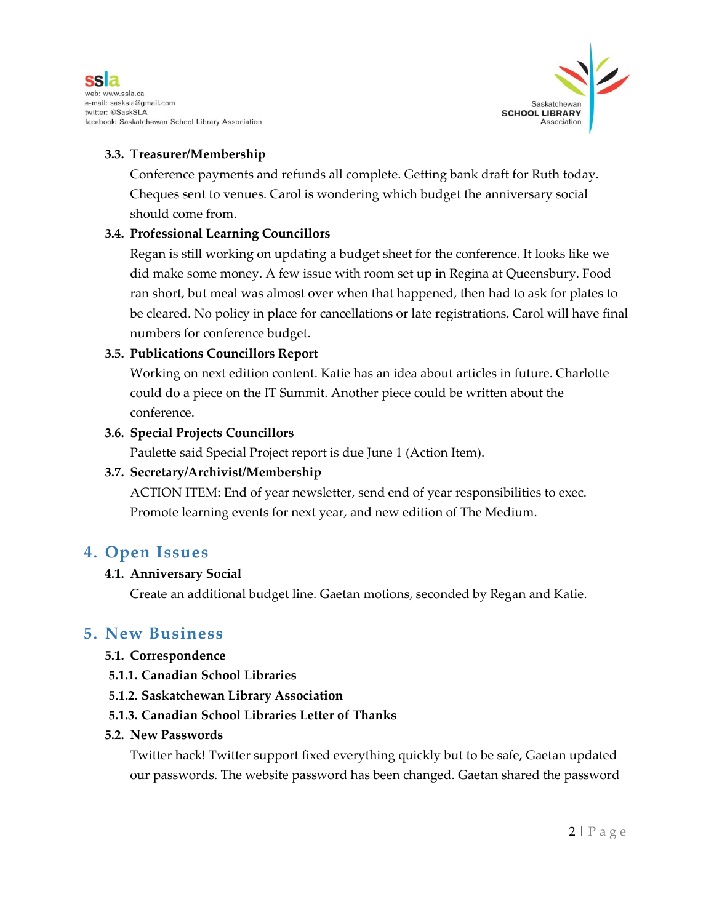



#### **3.3. Treasurer/Membership**

Conference payments and refunds all complete. Getting bank draft for Ruth today. Cheques sent to venues. Carol is wondering which budget the anniversary social should come from.

#### **3.4. Professional Learning Councillors**

Regan is still working on updating a budget sheet for the conference. It looks like we did make some money. A few issue with room set up in Regina at Queensbury. Food ran short, but meal was almost over when that happened, then had to ask for plates to be cleared. No policy in place for cancellations or late registrations. Carol will have final numbers for conference budget.

#### **3.5. Publications Councillors Report**

Working on next edition content. Katie has an idea about articles in future. Charlotte could do a piece on the IT Summit. Another piece could be written about the conference.

#### **3.6. Special Projects Councillors**

Paulette said Special Project report is due June 1 (Action Item).

#### **3.7. Secretary/Archivist/Membership**

ACTION ITEM: End of year newsletter, send end of year responsibilities to exec. Promote learning events for next year, and new edition of The Medium.

#### **4. Open Issues**

#### **4.1. Anniversary Social**

Create an additional budget line. Gaetan motions, seconded by Regan and Katie.

#### **5. New Business**

#### **5.1. Correspondence**

- **5.1.1. Canadian School Libraries**
- **5.1.2. Saskatchewan Library Association**
- **5.1.3. Canadian School Libraries Letter of Thanks**

#### **5.2. New Passwords**

Twitter hack! Twitter support fixed everything quickly but to be safe, Gaetan updated our passwords. The website password has been changed. Gaetan shared the password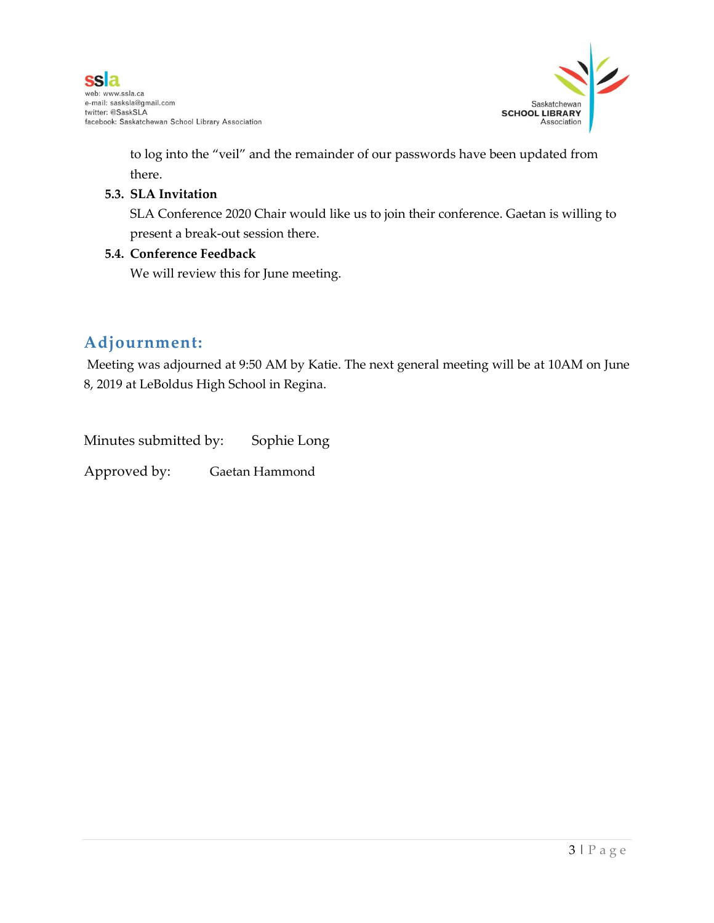

to log into the "veil" and the remainder of our passwords have been updated from there.

#### **5.3. SLA Invitation**

SLA Conference 2020 Chair would like us to join their conference. Gaetan is willing to present a break-out session there.

#### **5.4. Conference Feedback**

We will review this for June meeting.

### **Adjournment:**

Meeting was adjourned at 9:50 AM by Katie. The next general meeting will be at 10AM on June 8, 2019 at LeBoldus High School in Regina.

Minutes submitted by: Sophie Long

Approved by: Gaetan Hammond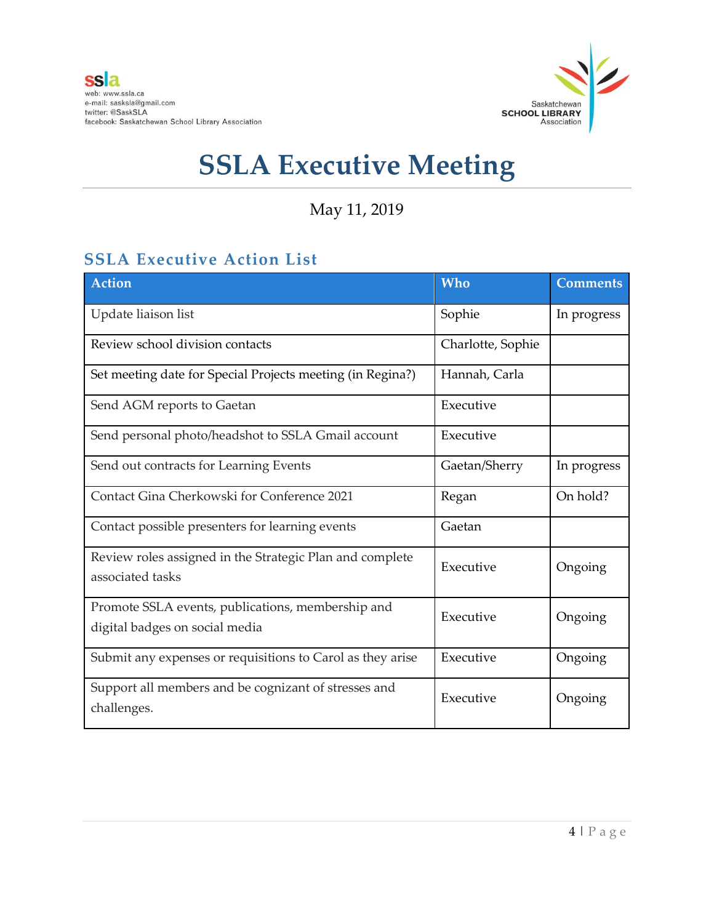

May 11, 2019

## **SSLA Executive Action List**

| <b>Action</b>                                                                       | <b>Who</b>        | <b>Comments</b> |
|-------------------------------------------------------------------------------------|-------------------|-----------------|
| Update liaison list                                                                 | Sophie            | In progress     |
| Review school division contacts                                                     | Charlotte, Sophie |                 |
| Set meeting date for Special Projects meeting (in Regina?)                          | Hannah, Carla     |                 |
| Send AGM reports to Gaetan                                                          | Executive         |                 |
| Send personal photo/headshot to SSLA Gmail account                                  | Executive         |                 |
| Send out contracts for Learning Events                                              | Gaetan/Sherry     | In progress     |
| Contact Gina Cherkowski for Conference 2021                                         | Regan             | On hold?        |
| Contact possible presenters for learning events                                     | Gaetan            |                 |
| Review roles assigned in the Strategic Plan and complete<br>associated tasks        | Executive         | Ongoing         |
| Promote SSLA events, publications, membership and<br>digital badges on social media | Executive         | Ongoing         |
| Submit any expenses or requisitions to Carol as they arise                          | Executive         | Ongoing         |
| Support all members and be cognizant of stresses and<br>challenges.                 | Executive         | Ongoing         |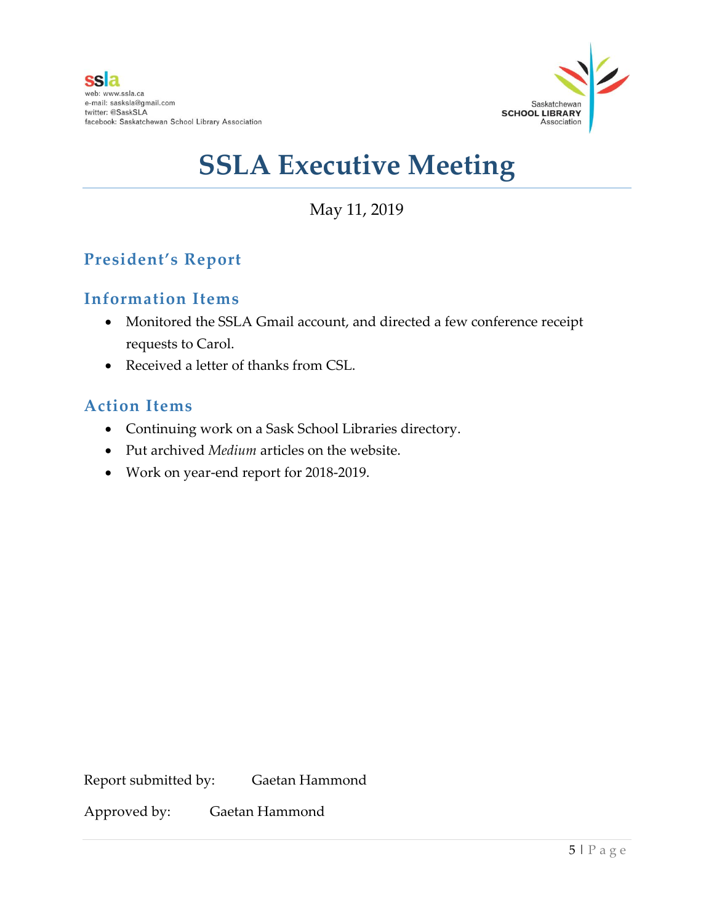

May 11, 2019

## **President's Report**

#### **Information Items**

- Monitored the SSLA Gmail account, and directed a few conference receipt requests to Carol.
- Received a letter of thanks from CSL.

#### **Action Items**

- Continuing work on a Sask School Libraries directory.
- Put archived *Medium* articles on the website.
- Work on year-end report for 2018-2019.

Report submitted by: Gaetan Hammond

Approved by: Gaetan Hammond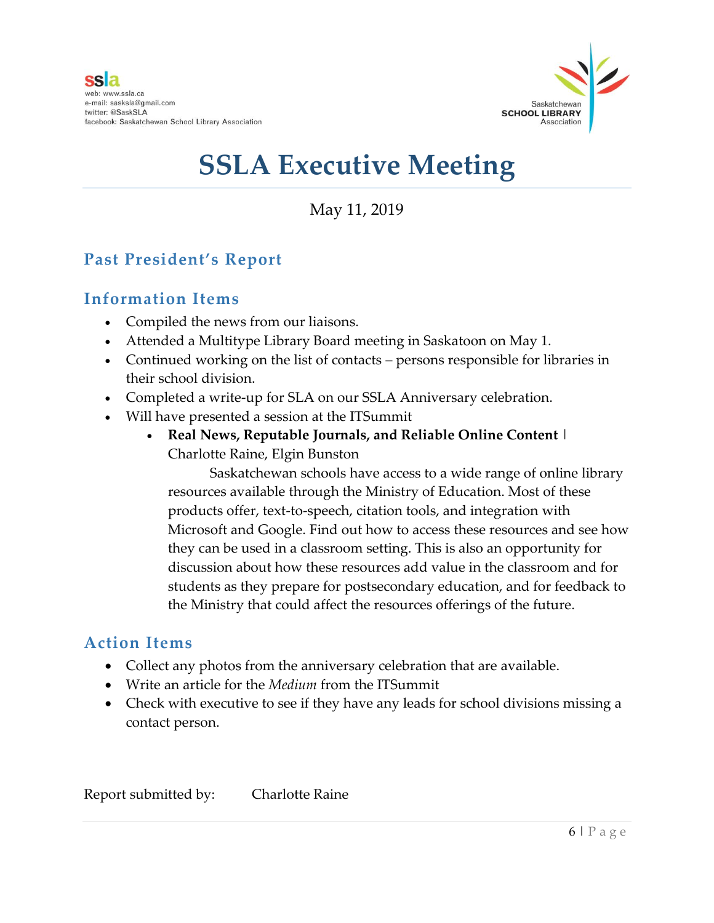

May 11, 2019

## **Past President's Report**

### **Information Items**

- Compiled the news from our liaisons.
- Attended a Multitype Library Board meeting in Saskatoon on May 1.
- Continued working on the list of contacts persons responsible for libraries in their school division.
- Completed a write-up for SLA on our SSLA Anniversary celebration.
- Will have presented a session at the ITSummit
	- **Real News, Reputable Journals, and Reliable Online Content** | Charlotte Raine, Elgin Bunston

Saskatchewan schools have access to a wide range of online library resources available through the Ministry of Education. Most of these products offer, text-to-speech, citation tools, and integration with Microsoft and Google. Find out how to access these resources and see how they can be used in a classroom setting. This is also an opportunity for discussion about how these resources add value in the classroom and for students as they prepare for postsecondary education, and for feedback to the Ministry that could affect the resources offerings of the future.

### **Action Items**

- Collect any photos from the anniversary celebration that are available.
- Write an article for the *Medium* from the ITSummit
- Check with executive to see if they have any leads for school divisions missing a contact person.

Report submitted by: Charlotte Raine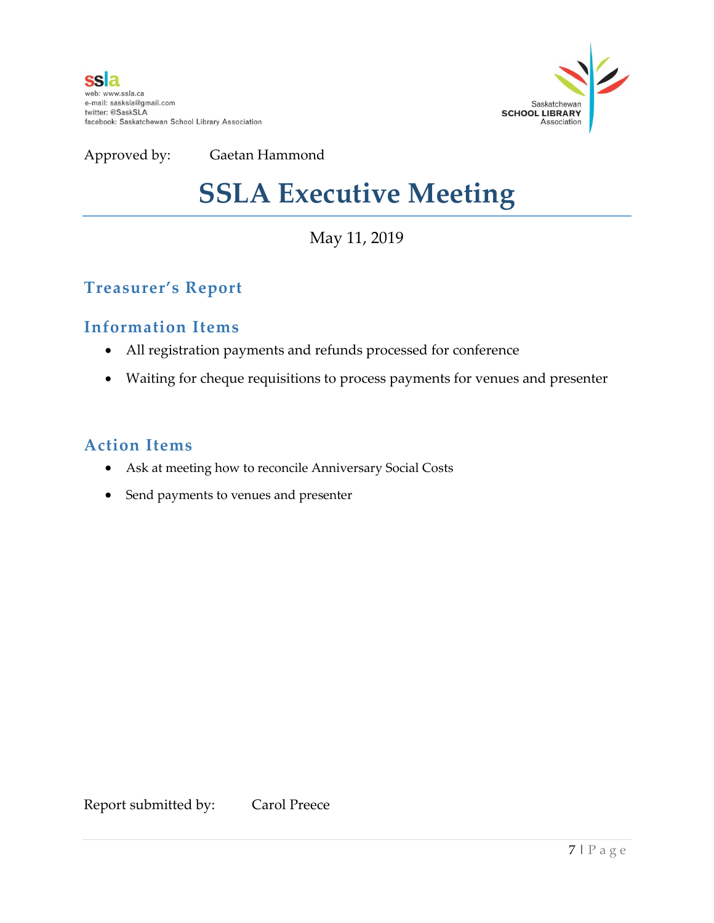

## **SSLA Executive Meeting**

## May 11, 2019

## **Treasurer's Report**

### **Information Items**

- All registration payments and refunds processed for conference
- Waiting for cheque requisitions to process payments for venues and presenter

### **Action Items**

- Ask at meeting how to reconcile Anniversary Social Costs
- Send payments to venues and presenter

Report submitted by: Carol Preece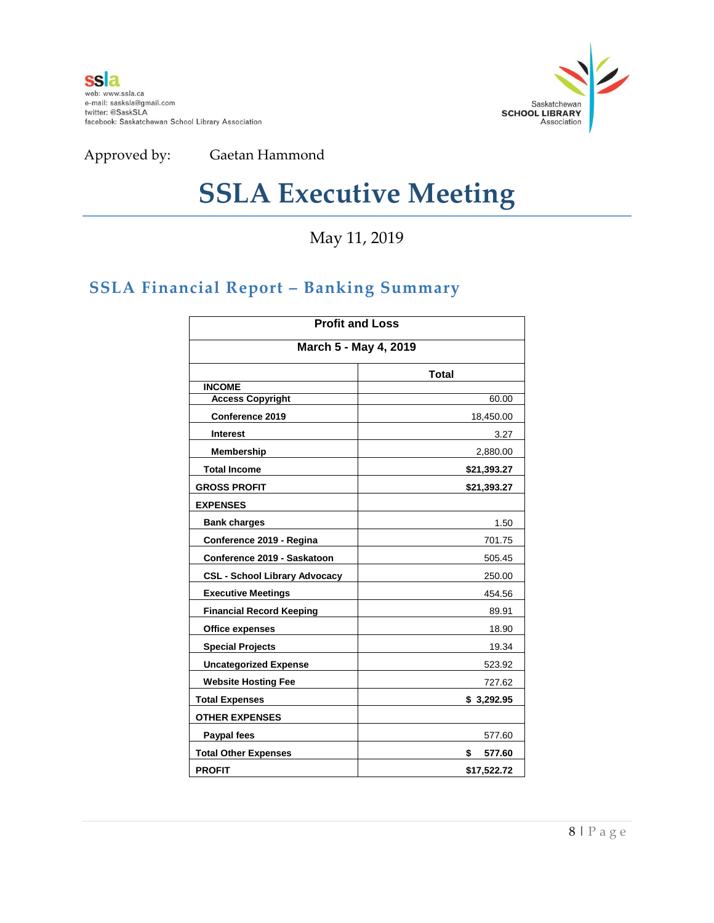

## **SSLA Executive Meeting**

May 11, 2019

## **SSLA Financial Report – Banking Summary**

| <b>Profit and Loss</b><br>March 5 - May 4, 2019 |              |  |
|-------------------------------------------------|--------------|--|
|                                                 |              |  |
| <b>INCOME</b>                                   |              |  |
| <b>Access Copyright</b>                         | 60.00        |  |
| Conference 2019                                 | 18,450.00    |  |
| <b>Interest</b>                                 | 3.27         |  |
| <b>Membership</b>                               | 2,880.00     |  |
| <b>Total Income</b>                             | \$21,393.27  |  |
| <b>GROSS PROFIT</b>                             | \$21,393.27  |  |
| <b>EXPENSES</b>                                 |              |  |
| <b>Bank charges</b>                             | 1.50         |  |
| Conference 2019 - Regina                        | 701.75       |  |
| Conference 2019 - Saskatoon                     | 505.45       |  |
| <b>CSL - School Library Advocacy</b>            | 250.00       |  |
| <b>Executive Meetings</b>                       | 454.56       |  |
| <b>Financial Record Keeping</b>                 | 89.91        |  |
| <b>Office expenses</b>                          | 18.90        |  |
| <b>Special Projects</b>                         | 19.34        |  |
| <b>Uncategorized Expense</b>                    | 523.92       |  |
| <b>Website Hosting Fee</b>                      | 727.62       |  |
| <b>Total Expenses</b>                           | \$3,292.95   |  |
| <b>OTHER EXPENSES</b>                           |              |  |
| <b>Paypal fees</b>                              | 577.60       |  |
| <b>Total Other Expenses</b>                     | \$<br>577.60 |  |
| <b>PROFIT</b>                                   | \$17,522.72  |  |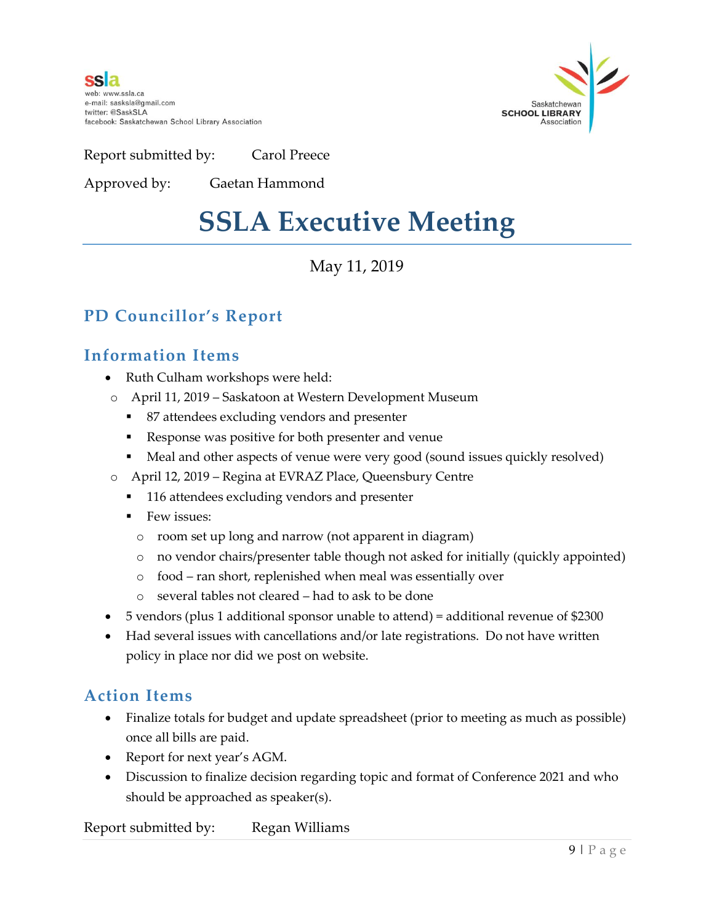**ssla** web: www.ssla.ca e-mail: sasksla@gmail.com twitter: @SaskSLA facebook: Saskatchewan School Library Association



Report submitted by: Carol Preece

Approved by: Gaetan Hammond

## **SSLA Executive Meeting**

## May 11, 2019

## **PD Councillor's Report**

### **Information Items**

- Ruth Culham workshops were held:
- o April 11, 2019 Saskatoon at Western Development Museum
	- 87 attendees excluding vendors and presenter
	- Response was positive for both presenter and venue
	- Meal and other aspects of venue were very good (sound issues quickly resolved)
- o April 12, 2019 Regina at EVRAZ Place, Queensbury Centre
	- 116 attendees excluding vendors and presenter
	- $\blacksquare$  Few issues:
		- o room set up long and narrow (not apparent in diagram)
		- o no vendor chairs/presenter table though not asked for initially (quickly appointed)
		- o food ran short, replenished when meal was essentially over
		- o several tables not cleared had to ask to be done
- 5 vendors (plus 1 additional sponsor unable to attend) = additional revenue of \$2300
- Had several issues with cancellations and/or late registrations. Do not have written policy in place nor did we post on website.

### **Action Items**

- Finalize totals for budget and update spreadsheet (prior to meeting as much as possible) once all bills are paid.
- Report for next year's AGM.
- Discussion to finalize decision regarding topic and format of Conference 2021 and who should be approached as speaker(s).

Report submitted by: Regan Williams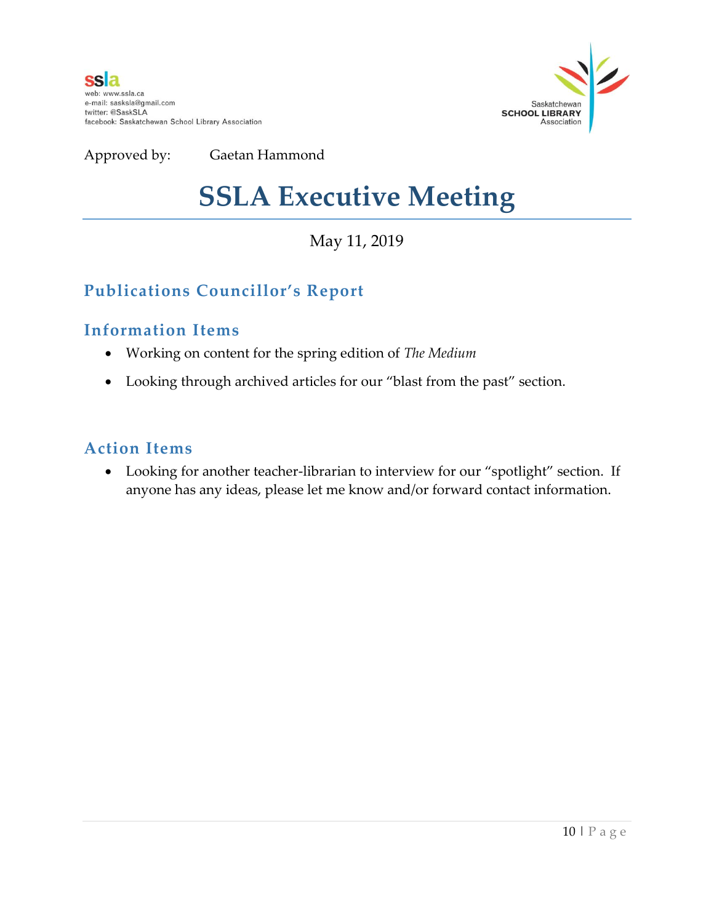

## **SSLA Executive Meeting**

May 11, 2019

## **Publications Councillor's Report**

### **Information Items**

- Working on content for the spring edition of *The Medium*
- Looking through archived articles for our "blast from the past" section.

### **Action Items**

 Looking for another teacher-librarian to interview for our "spotlight" section. If anyone has any ideas, please let me know and/or forward contact information.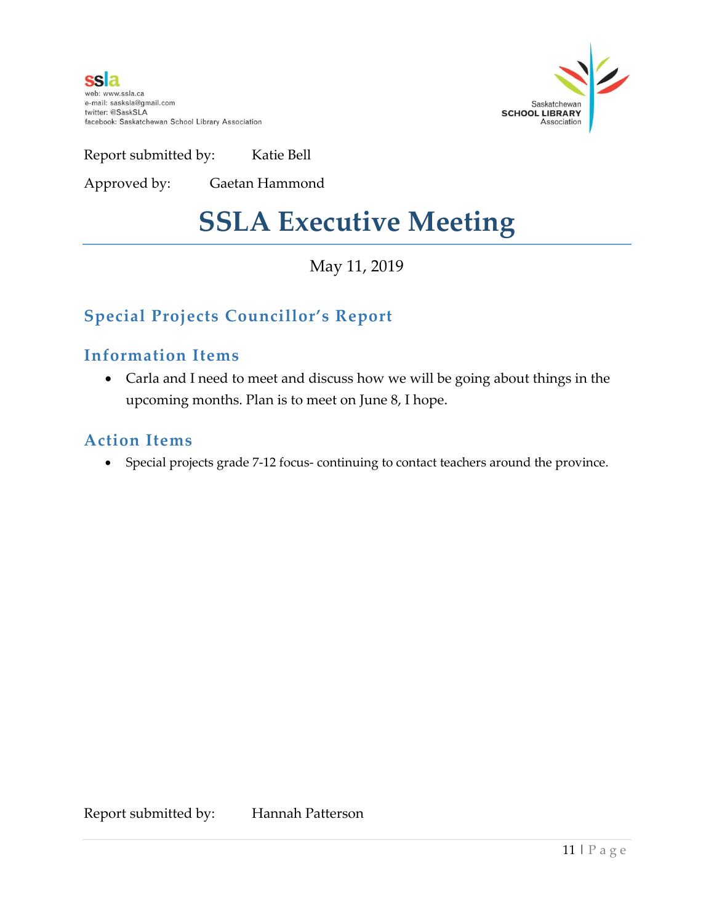**ssla** web: www.ssla.ca e-mail: sasksla@gmail.com twitter: @SaskSLA facebook: Saskatchewan School Library Association



Report submitted by: Katie Bell

Approved by: Gaetan Hammond

## **SSLA Executive Meeting**

May 11, 2019

## **Special Projects Councillor's Report**

### **Information Items**

 Carla and I need to meet and discuss how we will be going about things in the upcoming months. Plan is to meet on June 8, I hope.

### **Action Items**

Special projects grade 7-12 focus- continuing to contact teachers around the province.

Report submitted by: Hannah Patterson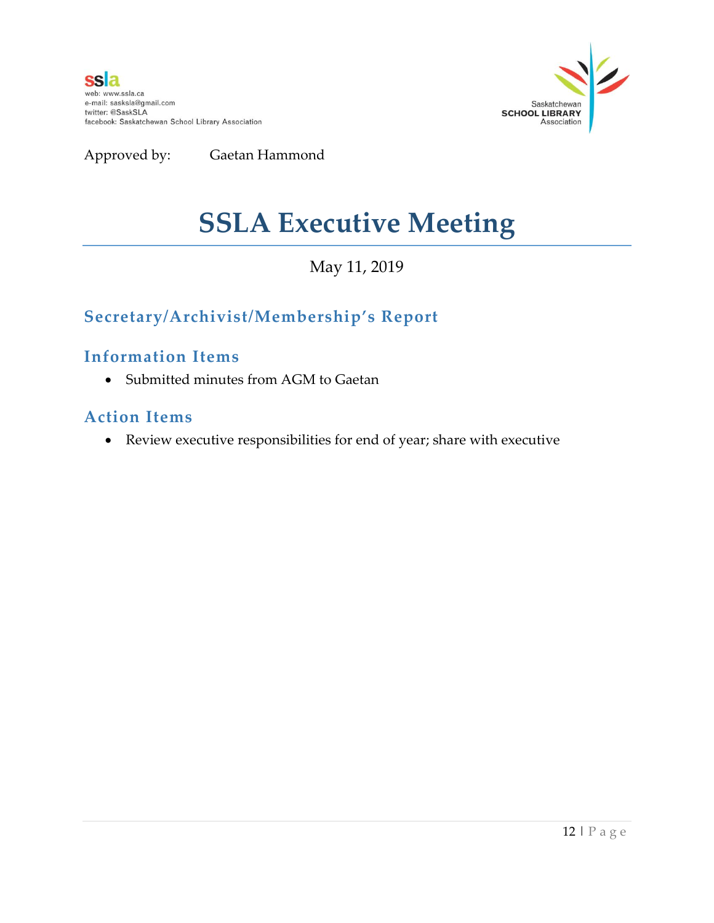



## **SSLA Executive Meeting**

### May 11, 2019

## **Secretary/Archivist/Membership's Report**

#### **Information Items**

Submitted minutes from AGM to Gaetan

#### **Action Items**

Review executive responsibilities for end of year; share with executive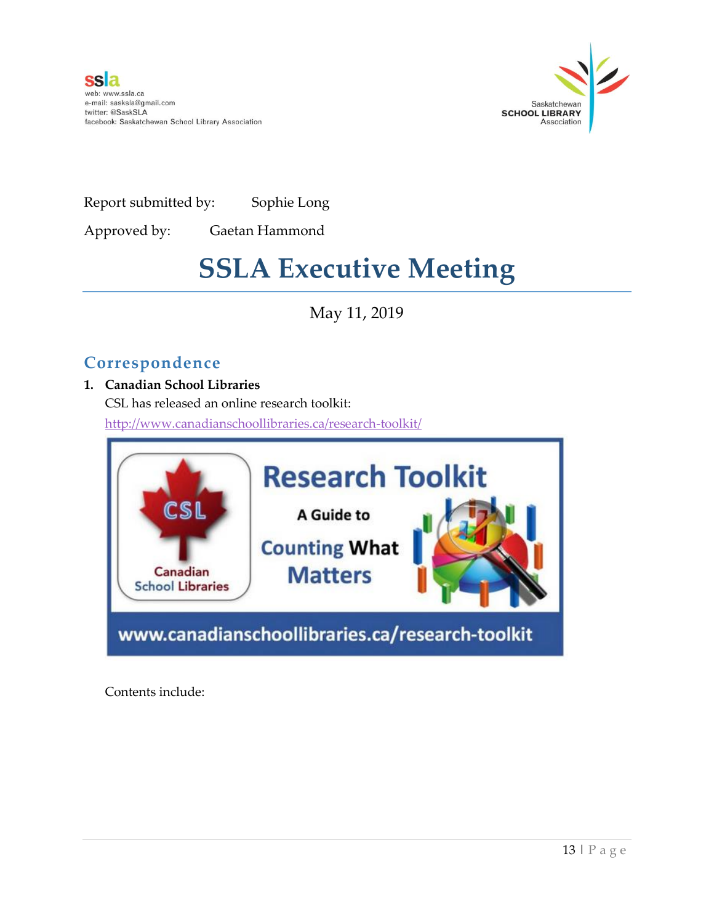



Report submitted by: Sophie Long

Approved by: Gaetan Hammond

## **SSLA Executive Meeting**

May 11, 2019

## **Correspondence**

#### **1. Canadian School Libraries**

CSL has released an online research toolkit: <http://www.canadianschoollibraries.ca/research-toolkit/>



Contents include: